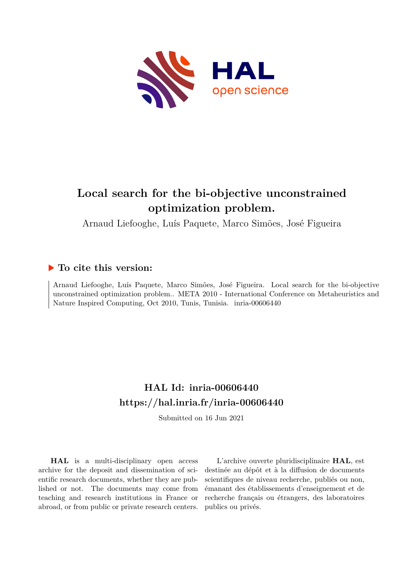

# **Local search for the bi-objective unconstrained optimization problem.**

Arnaud Liefooghe, Luís Paquete, Marco Simões, José Figueira

## **To cite this version:**

Arnaud Liefooghe, Luís Paquete, Marco Simões, José Figueira. Local search for the bi-objective unconstrained optimization problem.. META 2010 - International Conference on Metaheuristics and Nature Inspired Computing, Oct 2010, Tunis, Tunisia. inria-00606440

## **HAL Id: inria-00606440 <https://hal.inria.fr/inria-00606440>**

Submitted on 16 Jun 2021

**HAL** is a multi-disciplinary open access archive for the deposit and dissemination of scientific research documents, whether they are published or not. The documents may come from teaching and research institutions in France or abroad, or from public or private research centers.

L'archive ouverte pluridisciplinaire **HAL**, est destinée au dépôt et à la diffusion de documents scientifiques de niveau recherche, publiés ou non, émanant des établissements d'enseignement et de recherche français ou étrangers, des laboratoires publics ou privés.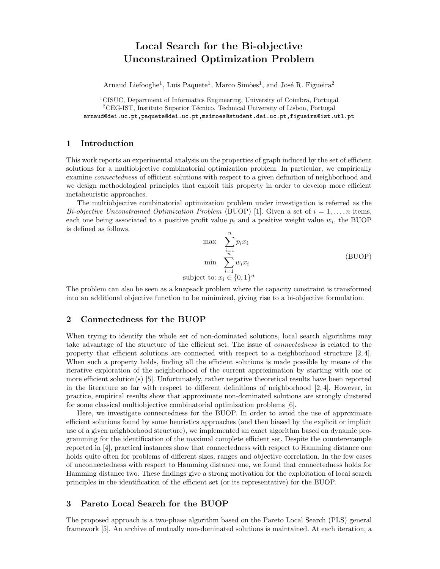### Local Search for the Bi-objective Unconstrained Optimization Problem

Arnaud Liefooghe<sup>1</sup>, Luís Paquete<sup>1</sup>, Marco Simões<sup>1</sup>, and José R. Figueira<sup>2</sup>

<sup>1</sup>CISUC, Department of Informatics Engineering, University of Coimbra, Portugal  ${}^{2}$ CEG-IST, Instituto Superior Técnico, Technical University of Lisbon, Portugal arnaud@dei.uc.pt,paquete@dei.uc.pt,msimoes@student.dei.uc.pt,figueira@ist.utl.pt

#### 1 Introduction

This work reports an experimental analysis on the properties of graph induced by the set of efficient solutions for a multiobjective combinatorial optimization problem. In particular, we empirically examine connectedness of efficient solutions with respect to a given definition of neighborhood and we design methodological principles that exploit this property in order to develop more efficient metaheuristic approaches.

The multiobjective combinatorial optimization problem under investigation is referred as the Bi-objective Unconstrained Optimization Problem (BUOP) [1]. Given a set of  $i = 1, \ldots, n$  items, each one being associated to a positive profit value  $p_i$  and a positive weight value  $w_i$ , the BUOP is defined as follows.

$$
\max \sum_{i=1}^{n} p_i x_i
$$
\n
$$
\min \sum_{i=1}^{n} w_i x_i
$$
\n
$$
\text{subject to: } x_i \in \{0, 1\}^n
$$
\n
$$
(BUOP)
$$

The problem can also be seen as a knapsack problem where the capacity constraint is transformed into an additional objective function to be minimized, giving rise to a bi-objective formulation.

#### 2 Connectedness for the BUOP

When trying to identify the whole set of non-dominated solutions, local search algorithms may take advantage of the structure of the efficient set. The issue of connectedness is related to the property that efficient solutions are connected with respect to a neighborhood structure  $[2, 4]$ . When such a property holds, finding all the efficient solutions is made possible by means of the iterative exploration of the neighborhood of the current approximation by starting with one or more efficient solution(s) [5]. Unfortunately, rather negative theoretical results have been reported in the literature so far with respect to different definitions of neighborhood [2, 4]. However, in practice, empirical results show that approximate non-dominated solutions are strongly clustered for some classical multiobjective combinatorial optimization problems [6].

Here, we investigate connectedness for the BUOP. In order to avoid the use of approximate efficient solutions found by some heuristics approaches (and then biased by the explicit or implicit use of a given neighborhood structure), we implemented an exact algorithm based on dynamic programming for the identification of the maximal complete efficient set. Despite the counterexample reported in [4], practical instances show that connectedness with respect to Hamming distance one holds quite often for problems of different sizes, ranges and objective correlation. In the few cases of unconnectedness with respect to Hamming distance one, we found that connectedness holds for Hamming distance two. These findings give a strong motivation for the exploitation of local search principles in the identification of the efficient set (or its representative) for the BUOP.

#### 3 Pareto Local Search for the BUOP

The proposed approach is a two-phase algorithm based on the Pareto Local Search (PLS) general framework [5]. An archive of mutually non-dominated solutions is maintained. At each iteration, a